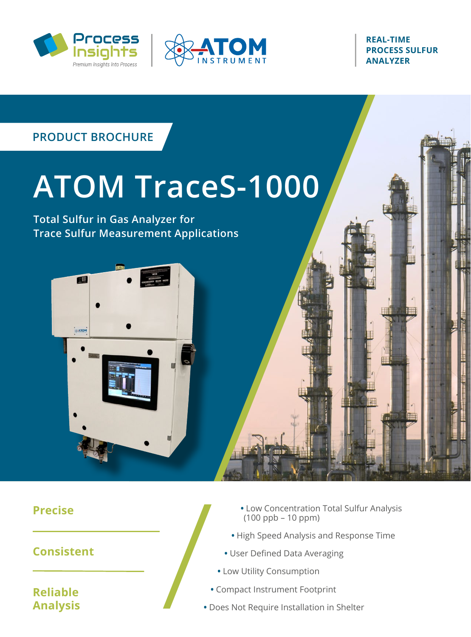



**REAL-TIME PROCESS SULFUR ANALYZER** 



**Precise**

**Consistent**

**Reliable Analysis**

- **•** Low Concentration Total Sulfur Analysis (100 ppb – 10 ppm)
- **•** High Speed Analysis and Response Time
- **•** User Defined Data Averaging
- **•** Low Utility Consumption
- **•** Compact Instrument Footprint
- **•** Does Not Require Installation in Shelter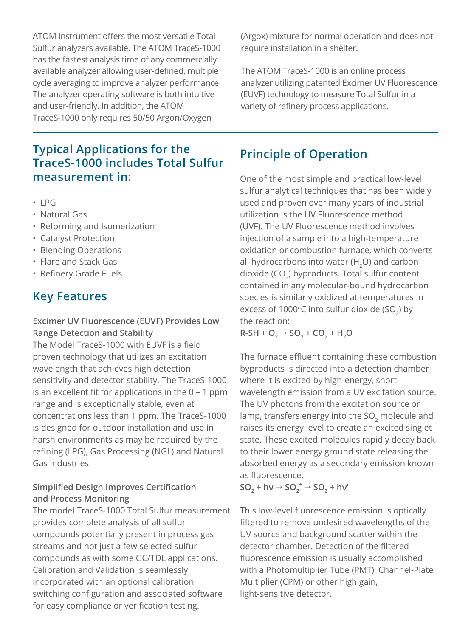ATOM Instrument offers the most versatile Total Sulfur analyzers available. The ATOM TraceS-1000 has the fastest analysis time of any commercially available analyzer allowing user-defined, multiple cycle averaging to improve analyzer performance. The analyzer operating software is both intuitive and user-friendly. In addition, the ATOM TraceS-1000 only requires 50/50 Argon/Oxygen

#### **Typical Applications for the TraceS-1000 includes Total Sulfur measurement in:**

- LPG
- Natural Gas
- Reforming and Isomerization
- Catalyst Protection
- Blending Operations
- Flare and Stack Gas
- Refinery Grade Fuels

#### **Key Features**

#### **Excimer UV Fluorescence (EUVF) Provides Low Range Detection and Stability**

The Model TraceS-1000 with EUVF is a field proven technology that utilizes an excitation wavelength that achieves high detection sensitivity and detector stability. The TraceS-1000 is an excellent fit for applications in the 0 – 1 ppm range and is exceptionally stable, even at concentrations less than 1 ppm. The TraceS-1000 is designed for outdoor installation and use in harsh environments as may be required by the refining (LPG), Gas Processing (NGL) and Natural Gas industries.

#### **Simplified Design Improves Certification and Process Monitoring**

The model TraceS-1000 Total Sulfur measurement provides complete analysis of all sulfur compounds potentially present in process gas streams and not just a few selected sulfur compounds as with some GC/TDL applications. Calibration and Validation is seamlessly incorporated with an optional calibration switching configuration and associated software for easy compliance or verification testing.

(Argox) mixture for normal operation and does not require installation in a shelter.

The ATOM TraceS-1000 is an online process analyzer utilizing patented Excimer UV Fluorescence (EUVF) technology to measure Total Sulfur in a variety of refinery process applications.

#### **Principle of Operation**

One of the most simple and practical low-level sulfur analytical techniques that has been widely used and proven over many years of industrial utilization is the UV Fluorescence method (UVF). The UV Fluorescence method involves injection of a sample into a high-temperature oxidation or combustion furnace, which converts all hydrocarbons into water  $(H, O)$  and carbon dioxide ( $CO<sub>2</sub>$ ) byproducts. Total sulfur content contained in any molecular-bound hydrocarbon species is similarly oxidized at temperatures in excess of 1000 $\degree$ C into sulfur dioxide (SO<sub>2</sub>) by the reaction:

 $R-SH + O_2 \rightarrow SO_2 + CO_2 + H_2$ 

The furnace effluent containing these combustion byproducts is directed into a detection chamber where it is excited by high-energy, shortwavelength emission from a UV excitation source. The UV photons from the excitation source or lamp, transfers energy into the SO<sub>2</sub> molecule and raises its energy level to create an excited singlet state. These excited molecules rapidly decay back to their lower energy ground state releasing the absorbed energy as a secondary emission known as fluorescence.

 $SO_2$  + hv  $\rightarrow$   $SO_2$ <sup>\*</sup>  $\rightarrow$   $SO_2$  + hv'

This low-level fluorescence emission is optically filtered to remove undesired wavelengths of the UV source and background scatter within the detector chamber. Detection of the filtered fluorescence emission is usually accomplished with a Photomultiplier Tube (PMT), Channel-Plate Multiplier (CPM) or other high gain, light-sensitive detector.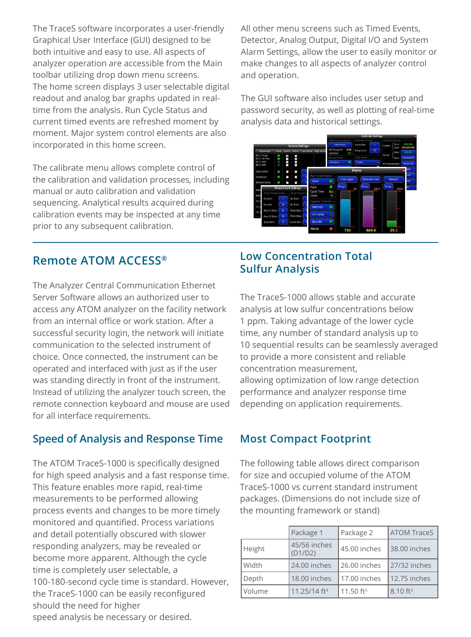The TraceS software incorporates a user-friendly Graphical User Interface (GUI) designed to be both intuitive and easy to use. All aspects of analyzer operation are accessible from the Main toolbar utilizing drop down menu screens. The home screen displays 3 user selectable digital readout and analog bar graphs updated in realtime from the analysis. Run Cycle Status and current timed events are refreshed moment by moment. Major system control elements are also incorporated in this home screen.

The calibrate menu allows complete control of the calibration and validation processes, including manual or auto calibration and validation sequencing. Analytical results acquired during calibration events may be inspected at any time prior to any subsequent calibration.

#### All other menu screens such as Timed Events, Detector, Analog Output, Digital I/O and System Alarm Settings, allow the user to easily monitor or make changes to all aspects of analyzer control and operation.

The GUI software also includes user setup and password security, as well as plotting of real-time analysis data and historical settings.



#### **Remote ATOM ACCESS®**

The Analyzer Central Communication Ethernet Server Software allows an authorized user to access any ATOM analyzer on the facility network from an internal office or work station. After a successful security login, the network will initiate communication to the selected instrument of choice. Once connected, the instrument can be operated and interfaced with just as if the user was standing directly in front of the instrument. Instead of utilizing the analyzer touch screen, the remote connection keyboard and mouse are used for all interface requirements.

#### **Speed of Analysis and Response Time**

The ATOM TraceS-1000 is specifically designed for high speed analysis and a fast response time. This feature enables more rapid, real-time measurements to be performed allowing process events and changes to be more timely monitored and quantified. Process variations and detail potentially obscured with slower responding analyzers, may be revealed or become more apparent. Although the cycle time is completely user selectable, a 100-180-second cycle time is standard. However, the TraceS-1000 can be easily reconfigured should the need for higher speed analysis be necessary or desired.

#### **Low Concentration Total Sulfur Analysis**

The TraceS-1000 allows stable and accurate analysis at low sulfur concentrations below 1 ppm. Taking advantage of the lower cycle time, any number of standard analysis up to 10 sequential results can be seamlessly averaged to provide a more consistent and reliable concentration measurement, allowing optimization of low range detection performance and analyzer response time depending on application requirements.

#### **Most Compact Footprint**

The following table allows direct comparison for size and occupied volume of the ATOM TraceS-1000 vs current standard instrument packages. (Dimensions do not include size of the mounting framework or stand)

|        | Package 1                | Package 2    | <b>ATOM TraceS</b>     |
|--------|--------------------------|--------------|------------------------|
| Height | 45/56 inches<br>(D1/D2)  | 45.00 inches | 38.00 inches           |
| Width  | 24.00 inches             | 26.00 inches | 27/32 inches           |
| Depth  | 18.00 inches             | 17.00 inches | 12.75 inches           |
| Volume | 11.25/14 ft <sup>3</sup> | 11.50 $ft^3$ | $8.10$ ft <sup>3</sup> |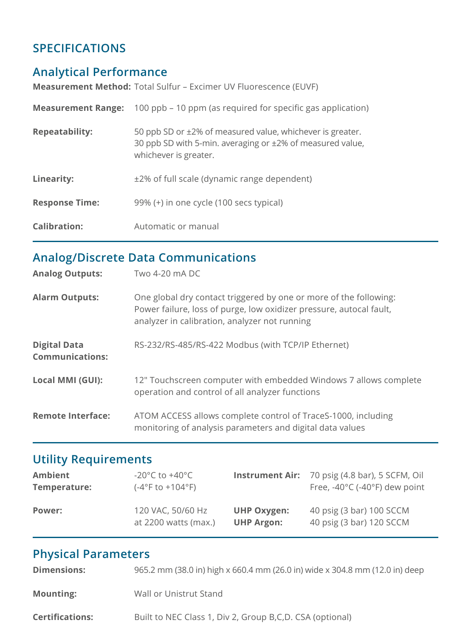## **SPECIFICATIONS**

# **Analytical Performance**

**Measurement Method:** Total Sulfur – Excimer UV Fluorescence (EUVF)

| <b>Measurement Range:</b> | 100 ppb – 10 ppm (as required for specific gas application)                                                                                     |
|---------------------------|-------------------------------------------------------------------------------------------------------------------------------------------------|
| <b>Repeatability:</b>     | 50 ppb SD or ±2% of measured value, whichever is greater.<br>30 ppb SD with 5-min. averaging or ±2% of measured value,<br>whichever is greater. |
| Linearity:                | ±2% of full scale (dynamic range dependent)                                                                                                     |
| <b>Response Time:</b>     | 99% (+) in one cycle (100 secs typical)                                                                                                         |
| <b>Calibration:</b>       | Automatic or manual                                                                                                                             |

## **Analog/Discrete Data Communications**

| <b>Analog Outputs:</b>                        | Two 4-20 mA DC                                                                                                                                                                            |
|-----------------------------------------------|-------------------------------------------------------------------------------------------------------------------------------------------------------------------------------------------|
| <b>Alarm Outputs:</b>                         | One global dry contact triggered by one or more of the following:<br>Power failure, loss of purge, low oxidizer pressure, autocal fault,<br>analyzer in calibration, analyzer not running |
| <b>Digital Data</b><br><b>Communications:</b> | RS-232/RS-485/RS-422 Modbus (with TCP/IP Ethernet)                                                                                                                                        |
| Local MMI (GUI):                              | 12" Touchscreen computer with embedded Windows 7 allows complete<br>operation and control of all analyzer functions                                                                       |
| <b>Remote Interface:</b>                      | ATOM ACCESS allows complete control of TraceS-1000, including<br>monitoring of analysis parameters and digital data values                                                                |

# **Utility Requirements**

| Ambient       | -20 $^{\circ}$ C to +40 $^{\circ}$ C |                    | <b>Instrument Air:</b> 70 psig (4.8 bar), 5 SCFM, Oil |
|---------------|--------------------------------------|--------------------|-------------------------------------------------------|
| Temperature:  | $(-4^{\circ}$ F to $+104^{\circ}$ F) |                    | Free, $-40^{\circ}$ C ( $-40^{\circ}$ F) dew point    |
| <b>Power:</b> | 120 VAC, 50/60 Hz                    | <b>UHP Oxygen:</b> | 40 psig (3 bar) 100 SCCM                              |
|               | at 2200 watts (max.)                 | <b>UHP Argon:</b>  | 40 psig (3 bar) 120 SCCM                              |

# **Physical Parameters**

| <b>Dimensions:</b>     | 965.2 mm (38.0 in) high x 660.4 mm (26.0 in) wide x 304.8 mm (12.0 in) deep |
|------------------------|-----------------------------------------------------------------------------|
| <b>Mounting:</b>       | Wall or Unistrut Stand                                                      |
| <b>Certifications:</b> | Built to NEC Class 1, Div 2, Group B, C, D. CSA (optional)                  |